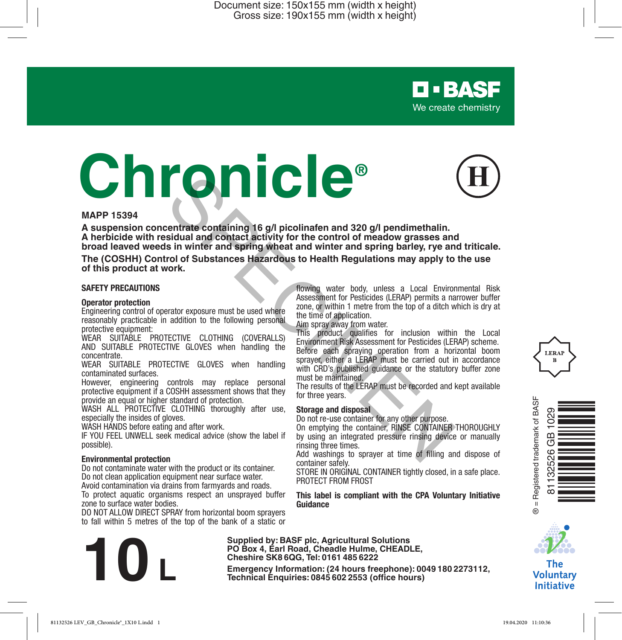# **Chronicle®**



**D-BASF** We create chemistry

#### **MAPP 15394**

**A suspension concentrate containing 16 g/l picolinafen and 320 g/l pendimethalin. A herbicide with residual and contact activity for the control of meadow grasses and broad leaved weeds in winter and spring wheat and winter and spring barley, rye and triticale. Example 16 g/l picolinafen and 320 g/l pendimethalin.**<br>
Sidual and contact activity for the control of meadow grasses ans<br>
is in wither and **spring wheels and winter and spring barley, rye and**<br>
sidual and contact activit

**The (COSHH) Control of Substances Hazardous to Health Regulations may apply to the use of this product at work.**

#### **SAFETY PRECAUTIONS**

#### **Operator protection**

Engineering control of operator exposure must be used where reasonably practicable in addition to the following personal protective equipment:

WEAR SUITABLE PROTECTIVE CLOTHING (COVERALLS) AND SUITABLE PROTECTIVE GLOVES when handling the concentrate.

WEAR SUITABLE PROTECTIVE GLOVES when handling contaminated surfaces.

However, engineering controls may replace personal protective equipment if a COSHH assessment shows that they provide an equal or higher standard of protection.

WASH ALL PROTECTIVE CLOTHING thoroughly after use. especially the insides of gloves.

WASH HANDS before eating and after work.

IF YOU FEEL UNWELL seek medical advice (show the label if possible).

#### **Environmental protection**

Do not contaminate water with the product or its container. Do not clean application equipment near surface water.

Avoid contamination via drains from farmyards and roads.

To protect aquatic organisms respect an unsprayed buffer zone to surface water bodies.

DO NOT ALLOW DIRECT SPRAY from horizontal boom sprayers to fall within 5 metres of the top of the bank of a static or

**Example 1912**<br>**Emergency Information: (24 hours freephone): 0049 180 2273112,** Technical Enquiries: 0845 602 2553 (office hours)

flowing water body, unless a Local Environmental Risk Assessment for Pesticides (LERAP) permits a narrower buffer zone, or within 1 metre from the top of a ditch which is dry at the time of application.

Aim spray away from water.

This product qualifies for inclusion within the Local Environment Risk Assessment for Pesticides (LERAP) scheme. Before each spraying operation from a horizontal boom sprayer, either a LERAP must be carried out in accordance with CRD's published guidance or the statutory buffer zone must be maintained.

The results of the LERAP must be recorded and kept available for three years.

#### **Storage and disposal**

**Supplied by: BASF plc, Agricultural Solutions PO Box 4, Earl Road, Cheadle Hulme, CHEADLE, Cheshire SK8 6QG, Tel: 0161 485 6222**

Do not re-use container for any other purpose.

On emptying the container, RINSE CONTAINER THOROUGHLY by using an integrated pressure rinsing device or manually rinsing three times.

Add washings to sprayer at time of filling and dispose of container safely.

STORE IN ORIGINAL CONTAINER tightly closed, in a safe place. PROTECT FROM FROST

#### **This label is compliant with the CPA Voluntary Initiative Guidance**





The **Voluntary Initiative** 



 $\infty$  $\sigma$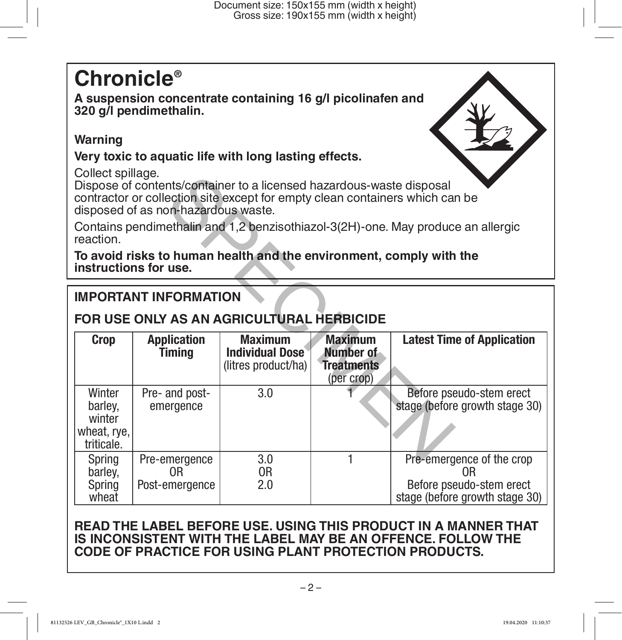# **Chronicle®**

**A suspension concentrate containing 16 g/l picolinafen and 320 g/l pendimethalin.** 

# **Warning**

# **Very toxic to aquatic life with long lasting effects.**

Collect spillage.

# **IMPORTANT INFORMATION**

# **FOR USE ONLY AS AN AGRICULTURAL HERBICIDE**

| Collect Spillage.<br>Dispose of contents/container to a licensed hazardous-waste disposal<br>contractor or collection site except for empty clean containers which can be<br>disposed of as non-hazardous waste. |                              |                                                                 |                                                                |                                                            |  |  |  |
|------------------------------------------------------------------------------------------------------------------------------------------------------------------------------------------------------------------|------------------------------|-----------------------------------------------------------------|----------------------------------------------------------------|------------------------------------------------------------|--|--|--|
| Contains pendimethalin and 1,2 benzisothiazol-3(2H)-one. May produce an allergic<br>reaction.                                                                                                                    |                              |                                                                 |                                                                |                                                            |  |  |  |
| To avoid risks to human health and the environment, comply with the<br>instructions for use.                                                                                                                     |                              |                                                                 |                                                                |                                                            |  |  |  |
| <b>IMPORTANT INFORMATION</b>                                                                                                                                                                                     |                              |                                                                 |                                                                |                                                            |  |  |  |
| FOR USE ONLY AS AN AGRICULTURAL HERBICIDE                                                                                                                                                                        |                              |                                                                 |                                                                |                                                            |  |  |  |
| <b>Crop</b>                                                                                                                                                                                                      | <b>Application</b><br>Timing | <b>Maximum</b><br><b>Individual Dose</b><br>(litres product/ha) | <b>Maximum</b><br>Number of<br><b>Treatments</b><br>(per crop) | <b>Latest Time of Application</b>                          |  |  |  |
|                                                                                                                                                                                                                  |                              |                                                                 |                                                                |                                                            |  |  |  |
| Winter<br>barley,<br>winter<br>wheat, rye,<br>triticale.                                                                                                                                                         | Pre- and post-<br>emergence  | 3.0                                                             |                                                                | Before pseudo-stem erect<br>stage (before growth stage 30) |  |  |  |

# **READ THE LABEL BEFORE USE. USING THIS PRODUCT IN A MANNER THAT IS INCONSISTENT WITH THE LABEL MAY BE AN OFFENCE. FOLLOW THE CODE OF PRACTICE FOR USING PLANT PROTECTION PRODUCTS.**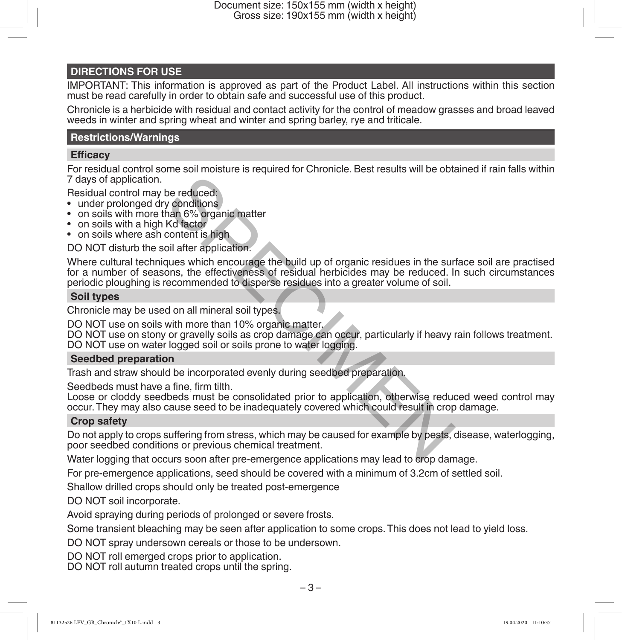#### **DIRECTIONS FOR USE**

IMPORTANT: This information is approved as part of the Product Label. All instructions within this section must be read carefully in order to obtain safe and successful use of this product.

Chronicle is a herbicide with residual and contact activity for the control of meadow grasses and broad leaved weeds in winter and spring wheat and winter and spring barley, rye and triticale.

#### **Restrictions/Warnings**

#### **Efficacy**

For residual control some soil moisture is required for Chronicle. Best results will be obtained if rain falls within 7 days of application.

Residual control may be reduced:

- under prolonged dry conditions
- on soils with more than 6% organic matter
- on soils with a high Kd factor
- on soils where ash content is high

DO NOT disturb the soil after application.

Where cultural techniques which encourage the build up of organic residues in the surface soil are practised for a number of seasons, the effectiveness of residual herbicides may be reduced. In such circumstances periodic ploughing is recommended to disperse residues into a greater volume of soil. be reduced:<br>
y conditions<br>
han 6% organic matter<br>
Kd factor<br>
content is high<br>
content is high<br>
consense the build up of organic residues in the sum<br>
ons, the effectiveness of residual herbicides may be reduced. I<br>
ecommend

#### **Soil types**

Chronicle may be used on all mineral soil types.

DO NOT use on soils with more than 10% organic matter.

DO NOT use on stony or gravelly soils as crop damage can occur, particularly if heavy rain follows treatment. DO NOT use on water logged soil or soils prone to water logging.

#### **Seedbed preparation**

Trash and straw should be incorporated evenly during seedbed preparation.

Seedbeds must have a fine, firm tilth.

Loose or cloddy seedbeds must be consolidated prior to application, otherwise reduced weed control may occur. They may also cause seed to be inadequately covered which could result in crop damage.

#### **Crop safety**

Do not apply to crops suffering from stress, which may be caused for example by pests, disease, waterlogging, poor seedbed conditions or previous chemical treatment.

Water logging that occurs soon after pre-emergence applications may lead to crop damage.

For pre-emergence applications, seed should be covered with a minimum of 3.2cm of settled soil.

Shallow drilled crops should only be treated post-emergence

DO NOT soil incorporate.

Avoid spraying during periods of prolonged or severe frosts.

Some transient bleaching may be seen after application to some crops. This does not lead to yield loss.

DO NOT spray undersown cereals or those to be undersown.

DO NOT roll emerged crops prior to application.

DO NOT roll autumn treated crops until the spring.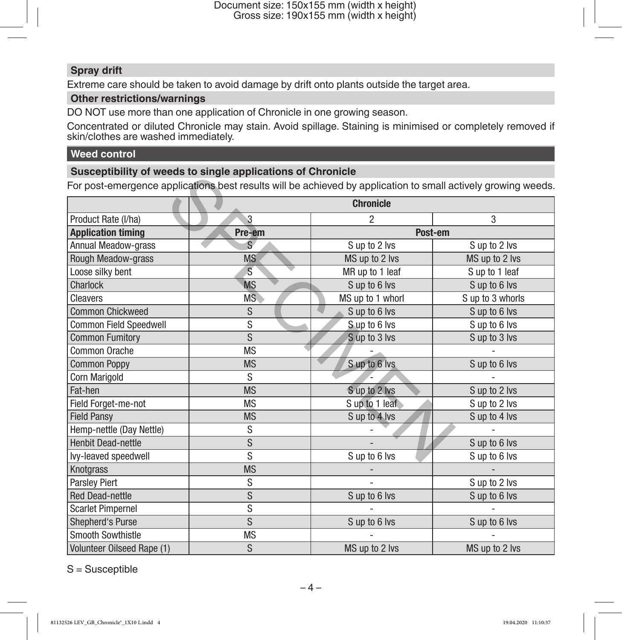## **Spray drift**

Extreme care should be taken to avoid damage by drift onto plants outside the target area.

# **Other restrictions/warnings**

DO NOT use more than one application of Chronicle in one growing season.

Concentrated or diluted Chronicle may stain. Avoid spillage. Staining is minimised or completely removed if skin/clothes are washed immediately.

### **Weed control**

## **Susceptibility of weeds to single applications of Chronicle**

|                            | <u>odoocpaping of weede to onight applications of onformate</u><br>For post-emergence applications best results will be achieved by application to small actively growing weeds. |                  |                  |
|----------------------------|----------------------------------------------------------------------------------------------------------------------------------------------------------------------------------|------------------|------------------|
|                            | <b>Chronicle</b>                                                                                                                                                                 |                  |                  |
| Product Rate (I/ha)        | 3                                                                                                                                                                                | 2                | 3                |
| <b>Application timing</b>  | Pre-em                                                                                                                                                                           | Post-em          |                  |
| <b>Annual Meadow-grass</b> | $\overline{S}$                                                                                                                                                                   | S up to 2 lvs    | S up to 2 lvs    |
| Rough Meadow-grass         | <b>MS</b>                                                                                                                                                                        | MS up to 2 lvs   | MS up to 2 lvs   |
| Loose silky bent           | $\overline{\mathbf{s}}$                                                                                                                                                          | MR up to 1 leaf  | S up to 1 leaf   |
| <b>Charlock</b>            | <b>MS</b>                                                                                                                                                                        | S up to 6 lvs    | S up to 6 lvs    |
| Cleavers                   | MS                                                                                                                                                                               | MS up to 1 whorl | S up to 3 whorls |
| <b>Common Chickweed</b>    | S                                                                                                                                                                                | S up to 6 lys    | S up to 6 lvs    |
| Common Field Speedwell     | S                                                                                                                                                                                | S up to 6 lvs    | S up to 6 lvs    |
| <b>Common Fumitory</b>     | S                                                                                                                                                                                | S up to 3 lvs    | S up to 3 lvs    |
| Common Orache              | <b>MS</b>                                                                                                                                                                        |                  |                  |
| <b>Common Poppy</b>        | <b>MS</b>                                                                                                                                                                        | Sup to 6 lvs     | S up to 6 lvs    |
| Corn Marigold              | S                                                                                                                                                                                |                  |                  |
| Fat-hen                    | <b>MS</b>                                                                                                                                                                        | Sup to 2 lvs     | S up to 2 lvs    |
| Field Forget-me-not        | <b>MS</b>                                                                                                                                                                        | Sup to 1 leaf    | S up to 2 lvs    |
| <b>Field Pansy</b>         | <b>MS</b>                                                                                                                                                                        | Sup to 4 lvs     | S up to 4 lvs    |
| Hemp-nettle (Day Nettle)   | S                                                                                                                                                                                |                  |                  |
| <b>Henbit Dead-nettle</b>  | S                                                                                                                                                                                |                  | Sup to 6 lvs     |
| lvy-leaved speedwell       | S                                                                                                                                                                                | Sup to 6 lvs     | Sup to 6 lvs     |
| <b>Knotgrass</b>           | <b>MS</b>                                                                                                                                                                        |                  |                  |
| <b>Parslev Piert</b>       | S                                                                                                                                                                                |                  | S up to 2 lvs    |
| <b>Red Dead-nettle</b>     | S                                                                                                                                                                                | Sup to 6 lvs     | Sup to 6 lvs     |
| <b>Scarlet Pimpernel</b>   | S                                                                                                                                                                                |                  |                  |
| Shepherd's Purse           | S                                                                                                                                                                                | Sup to 6 lvs     | Sup to 6 lvs     |
| <b>Smooth Sowthistle</b>   | <b>MS</b>                                                                                                                                                                        |                  |                  |
| Volunteer Oilseed Rape (1) | S                                                                                                                                                                                | MS up to 2 lvs   | MS up to 2 lvs   |

S = Susceptible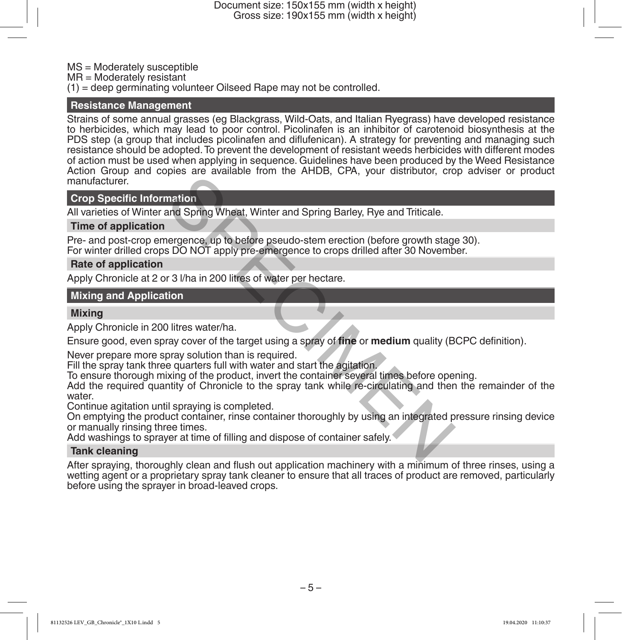Document size: 150x155 mm (width x height) Gross size: 190x155 mm (width x height)

MS = Moderately susceptible

 $MR = Modern$  resistant

(1) = deep germinating volunteer Oilseed Rape may not be controlled.

#### **Resistance Management**

Strains of some annual grasses (eg Blackgrass, Wild-Oats, and Italian Ryegrass) have developed resistance to herbicides, which may lead to poor control. Picolinafen is an inhibitor of carotenoid biosynthesis at the PDS step (a group that includes picolinafen and diflufenican). A strategy for preventing and managing such resistance should be adopted. To prevent the development of resistant weeds herbicides with different modes of action must be used when applying in sequence. Guidelines have been produced by the Weed Resistance Action Group and copies are available from the AHDB, CPA, your distributor, crop adviser or product manufacturer.

#### **Crop Specific Information**

All varieties of Winter and Spring Wheat, Winter and Spring Barley, Rye and Triticale.

#### **Time of application**

Pre- and post-crop emergence, up to before pseudo-stem erection (before growth stage 30). For winter drilled crops DO NOT apply pre-emergence to crops drilled after 30 November.

#### **Rate of application**

Apply Chronicle at 2 or 3 l/ha in 200 litres of water per hectare.

#### **Mixing and Application**

#### **Mixing**

Apply Chronicle in 200 litres water/ha.

Ensure good, even spray cover of the target using a spray of **fine** or **medium** quality (BCPC definition).

Never prepare more spray solution than is required.

Fill the spray tank three quarters full with water and start the agitation.

To ensure thorough mixing of the product, invert the container several times before opening.

Add the required quantity of Chronicle to the spray tank while re-circulating and then the remainder of the water. mation<br>
and Spring Wheat, Winter and Spring Barley, Rye and Triticale.<br>
nergence, up to before pseudo-stem erection (before growth stags DO NOT apply pre-emergence to crops drilled after 30 November<br>
18 J/ha in 200 litres

Continue agitation until spraying is completed.

On emptying the product container, rinse container thoroughly by using an integrated pressure rinsing device or manually rinsing three times.

Add washings to sprayer at time of filling and dispose of container safely.

#### **Tank cleaning**

After spraying, thoroughly clean and flush out application machinery with a minimum of three rinses, using a wetting agent or a proprietary spray tank cleaner to ensure that all traces of product are removed, particularly before using the sprayer in broad-leaved crops.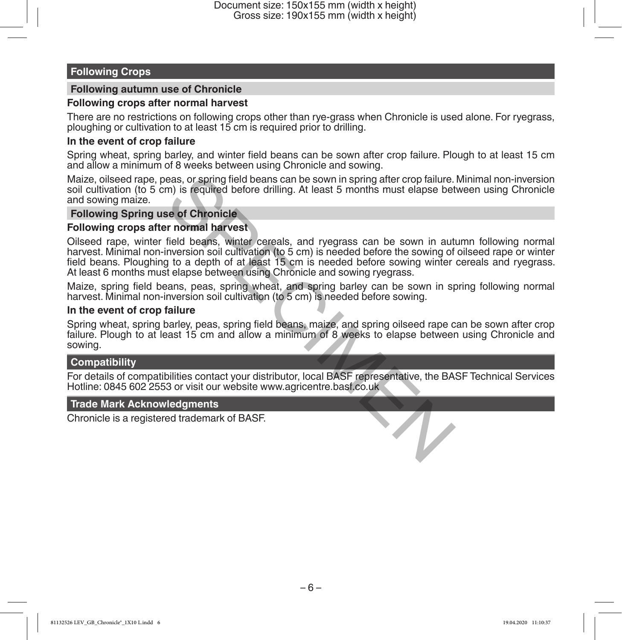#### **Following Crops**

#### **Following autumn use of Chronicle**

#### **Following crops after normal harvest**

There are no restrictions on following crops other than rye-grass when Chronicle is used alone. For ryegrass, ploughing or cultivation to at least 15 cm is required prior to drilling.

#### **In the event of crop failure**

Spring wheat, spring barley, and winter field beans can be sown after crop failure. Plough to at least 15 cm and allow a minimum of 8 weeks between using Chronicle and sowing.

Maize, oilseed rape, peas, or spring field beans can be sown in spring after crop failure. Minimal non-inversion soil cultivation (to 5 cm) is required before drilling. At least 5 months must elapse between using Chronicle and sowing maize.

#### **Following Spring use of Chronicle**

#### **Following crops after normal harvest**

Oilseed rape, winter field beans, winter cereals, and ryegrass can be sown in autumn following normal harvest. Minimal non-inversion soil cultivation (to 5 cm) is needed before the sowing of oilseed rape or winter field beans. Ploughing to a depth of at least 15 cm is needed before sowing winter cereals and ryegrass. At least 6 months must elapse between using Chronicle and sowing ryegrass. eas, or spring field beans can be sown in spring after crop failure.<br>
The second of the property of the least 5 months must elapse bet<br>
see of Chronicle<br>
From the second section solicity and the second to secure the solid

Maize, spring field beans, peas, spring wheat, and spring barley can be sown in spring following normal harvest. Minimal non-inversion soil cultivation (to 5 cm) is needed before sowing.

#### **In the event of crop failure**

Spring wheat, spring barley, peas, spring field beans, maize, and spring oilseed rape can be sown after crop failure. Plough to at least 15 cm and allow a minimum of 8 weeks to elapse between using Chronicle and sowing.

#### **Compatibility**

For details of compatibilities contact your distributor, local BASF representative, the BASF Technical Services Hotline: 0845 602 2553 or visit our website www.agricentre.basf.co.uk

#### **Trade Mark Acknowledgments**

Chronicle is a registered trademark of BASF.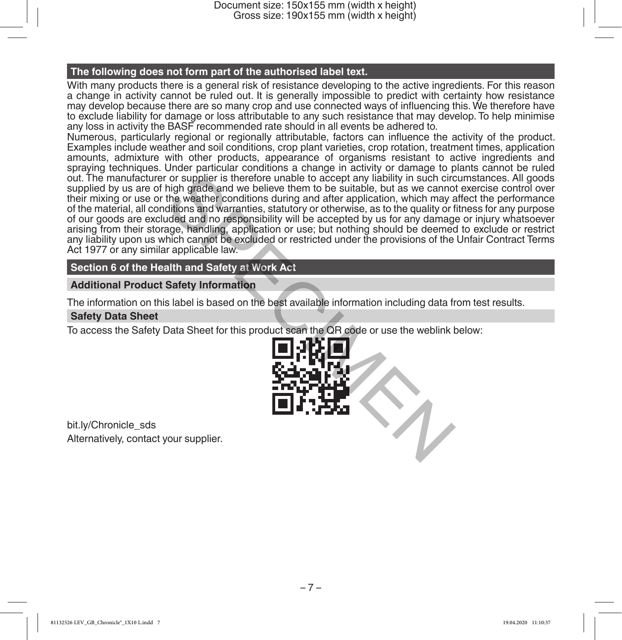Document size: 150x155 mm (width x height) Gross size: 190x155 mm (width x height)

#### **The following does not form part of the authorised label text.**

With many products there is a general risk of resistance developing to the active ingredients. For this reason a change in activity cannot be ruled out. It is generally impossible to predict with certainty how resistance may develop because there are so many crop and use connected ways of influencing this. We therefore have to exclude liability for damage or loss attributable to any such resistance that may develop. To help minimise any loss in activity the BASF recommended rate should in all events be adhered to.

Numerous, particularly regional or regionally attributable, factors can influence the activity of the product. Examples include weather and soil conditions, crop plant varieties, crop rotation, treatment times, application amounts, admixture with other products, appearance of organisms resistant to active ingredients and spraying techniques. Under particular conditions a change in activity or damage to plants cannot be ruled out. The manufacturer or supplier is therefore unable to accept any liability in such circumstances. All goods supplied by us are of high grade and we believe them to be suitable, but as we cannot exercise control over their mixing or use or the weather conditions during and after application, which may affect the performance of the material, all conditions and warranties, statutory or otherwise, as to the quality or fitness for any purpose of our goods are excluded and no responsibility will be accepted by us for any damage or injury whatsoever arising from their storage, handling, application or use; but nothing should be deemed to exclude or restrict any liability upon us which cannot be excluded or restricted under the provisions of the Unfair Contract Terms Act 1977 or any similar applicable law. For supplier is therefore unable to accept any liability in such circle thing grade and we believe them to be suitable, but as we cannot the weather conditions during and after application, which may aftitions and warranti

#### **Section 6 of the Health and Safety at Work Act**

#### **Additional Product Safety Information**

The information on this label is based on the best available information including data from test results.

#### **Safety Data Sheet**

To access the Safety Data Sheet for this product scan the QR code or use the weblink below:



bit.ly/Chronicle\_sds Alternatively, contact your supplier.